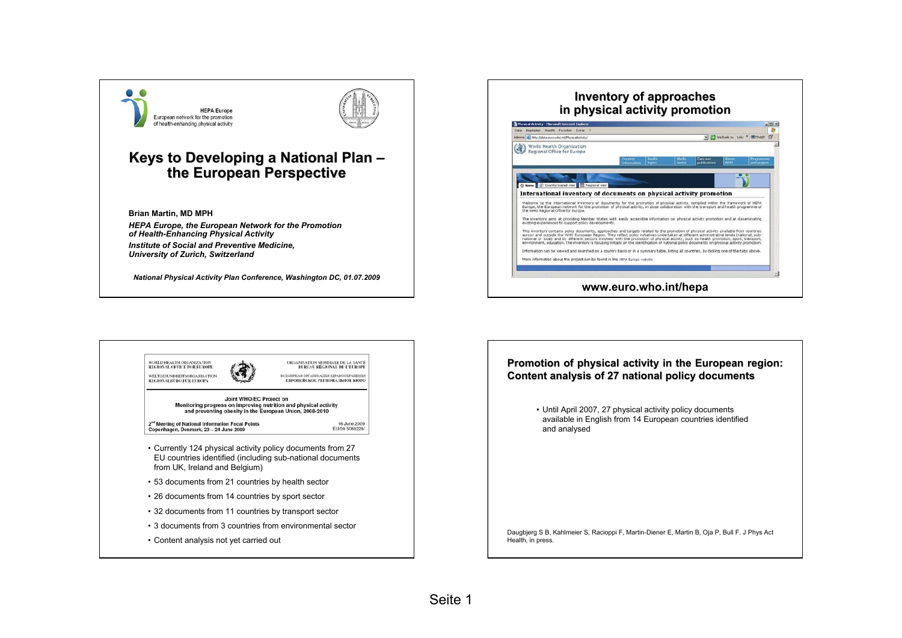



# **Keys to Developing a National Plan – the European Perspective the European Perspective**

**Brian Martin, MD MPH**

*HEPA Europe, the European Network for the Promotion of Health-Enhancing Physical Activity Institute of Social and Preventive Medicine, University of Zurich, Switzerland*

*National Physical Activity Plan Conference, Washington DC, 01.07.2009*

#### **Inventory of approaches Inventory of approaches in physical activity promotion**





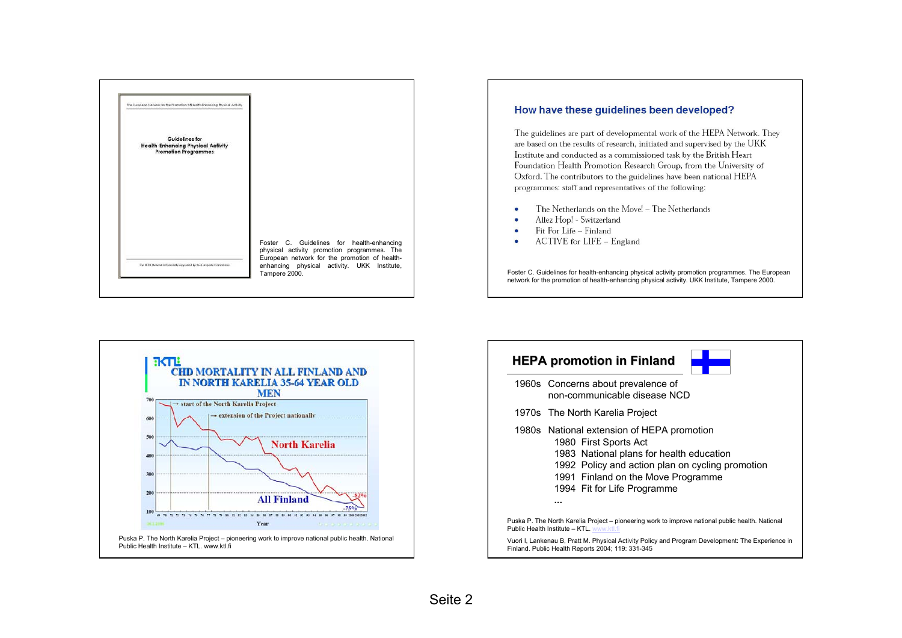

#### How have these quidelines been developed?

The guidelines are part of developmental work of the HEPA Network. They are based on the results of research, initiated and supervised by the UKK Institute and conducted as a commissioned task by the British Heart Foundation Health Promotion Research Group, from the University of Oxford. The contributors to the guidelines have been national HEPA programmes: staff and representatives of the following:

- The Netherlands on the Move! The Netherlands
- Allez Hop! Switzerland Ä
- Fit For Life Finland  $\bullet$
- ACTIVE for LIFE England

Foster C. Guidelines for health-enhancing physical activity promotion programmes. The European network for the promotion of health-enhancing physical activity. UKK Institute, Tampere 2000.





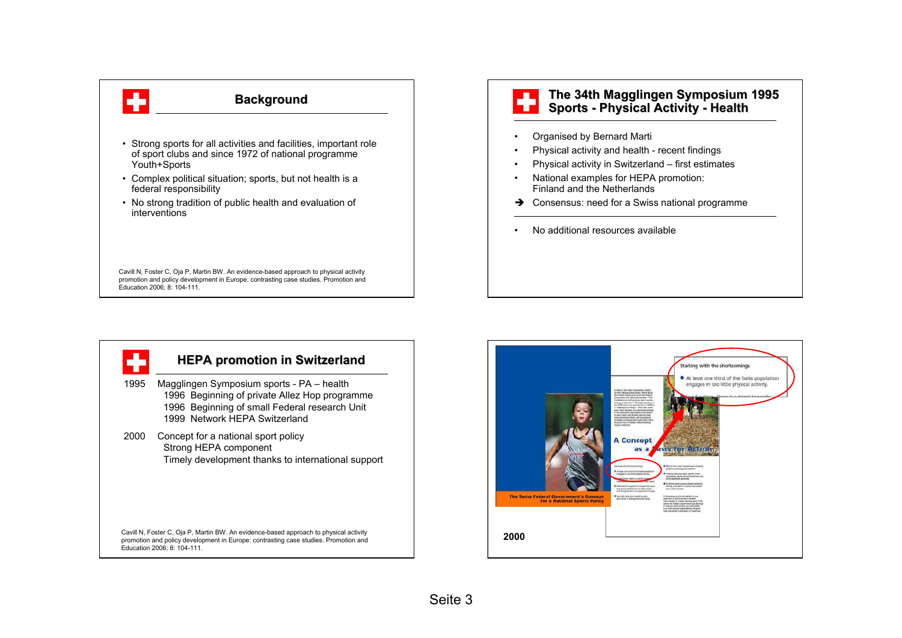

# **Background**

- Strong sports for all activities and facilities, important role of sport clubs and since 1972 of national programme Youth+Sports
- Complex political situation; sports, but not health is a federal responsibility
- No strong tradition of public health and evaluation of interventions

Cavill N, Foster C, Oja P, Martin BW. An evidence-based approach to physical activity promotion and policy development in Europe: contrasting case studies. Promotion and Education 2006; 8: 104-111.

### **The 34th Magglingen Symposium 1995 Sports - Physical Activity Physical Activity - Health**

- •Organised by Bernard Marti
- •Physical activity and health - recent findings
- Physical activity in Switzerland first estimates
- National examples for HEPA promotion: Finland and the Netherlands
- $\rightarrow$  Consensus: need for a Swiss national programme
- No additional resources available



# **HEPA promotion in Switzerland**

- 1995 Magglingen Symposium sports PA health 1996 Beginning of private Allez Hop programme 1996 Beginning of small Federal research Unit 1999 Network HEPA Switzerland
- 2000 Concept for a national sport policy Strong HEPA component Timely development thanks to international support

Cavill N, Foster C, Oja P, Martin BW. An evidence-based approach to physical activity promotion and policy development in Europe: contrasting case studies. Promotion and Education 2006; 8: 104-111.

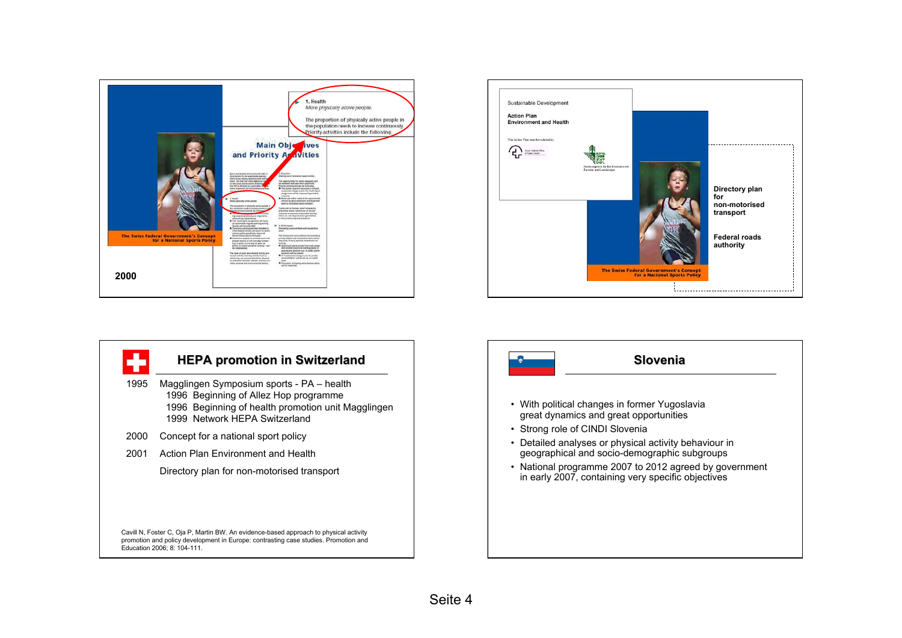



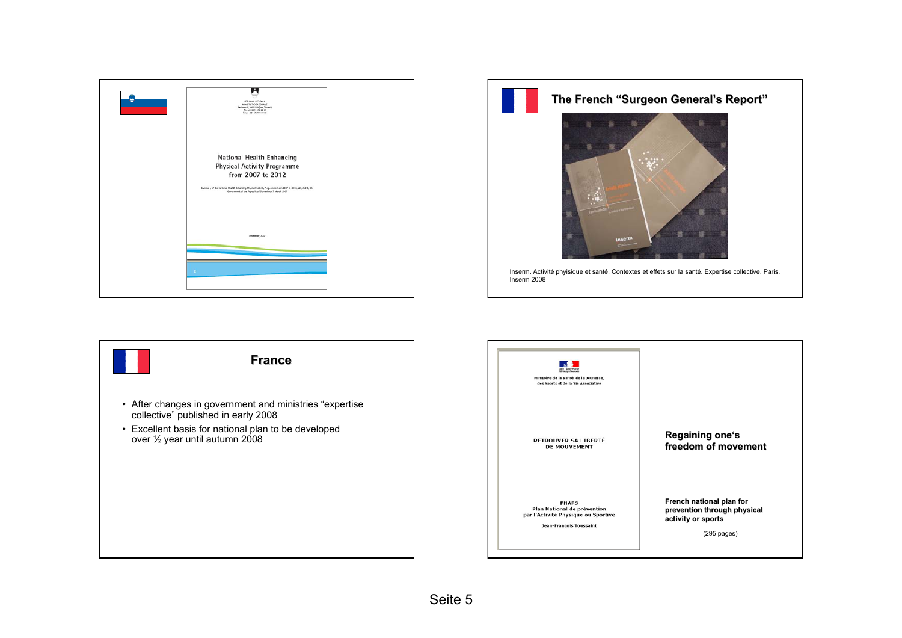



#### **The French "Surgeon General's Report"**



Inserm. Activité phyisique et santé. Contextes et effets sur la santé. Expertise collective. Paris, Inserm 2008